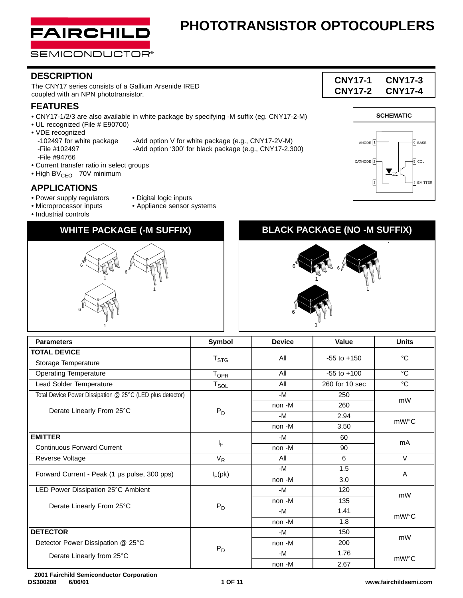

### **DESCRIPTION**

The CNY17 series consists of a Gallium Arsenide IRED coupled with an NPN phototransistor.

### **FEATURES**

- CNY17-1/2/3 are also available in white package by specifying -M suffix (eg. CNY17-2-M)
- UL recognized (File # E90700)
- VDE recognized
- -File #94766
- Current transfer ratio in select groups
- High BV<sub>CEO</sub>-70V minimum

### **APPLICATIONS**

- Power supply regulators Digital logic inputs
- Microprocessor inputs Appliance sensor systems

6

1

1

6

• Industrial controls

### **WHITE PACKAGE (-M SUFFIX) BLACK PACKAGE (NO -M SUFFIX)**

6

1

- -102497 for white package -Add option V for white package (e.g., CNY17-2V-M)<br>-File #102497 -Add option '300' for black package (e.g., CNY17-2.3 -Add option '300' for black package (e.g., CNY17-2.300)
	-







| <b>Parameters</b>                                         | Symbol                      | <b>Device</b> | Value           | <b>Units</b> |  |  |
|-----------------------------------------------------------|-----------------------------|---------------|-----------------|--------------|--|--|
| <b>TOTAL DEVICE</b>                                       | $T_{\text{STG}}$            | All           | $-55$ to $+150$ | °C           |  |  |
| Storage Temperature                                       |                             |               |                 |              |  |  |
| <b>Operating Temperature</b>                              | $T_{\text{OPR}}$            | All           | $-55$ to $+100$ | $^{\circ}C$  |  |  |
| Lead Solder Temperature                                   | $\mathsf{T}_{\mathsf{SOL}}$ | All           | 260 for 10 sec  | $^{\circ}$ C |  |  |
| Total Device Power Dissipation @ 25°C (LED plus detector) |                             | -M            | 250             | mW           |  |  |
|                                                           |                             | non -M        | 260             |              |  |  |
| Derate Linearly From 25°C                                 | $P_D$                       | $-M$          | 2.94            |              |  |  |
|                                                           |                             | non -M        | 3.50            | mW/°C        |  |  |
| <b>EMITTER</b>                                            |                             | $-M$          | 60              | mA           |  |  |
| <b>Continuous Forward Current</b>                         | ΙF                          | non -M        | 90              |              |  |  |
| Reverse Voltage                                           | $V_R$                       | All           | 6               | $\vee$       |  |  |
|                                                           |                             | -M            | 1.5             |              |  |  |
| Forward Current - Peak (1 µs pulse, 300 pps)              | $I_F$ (pk)                  | non -M        | 3.0             | A            |  |  |
| LED Power Dissipation 25°C Ambient                        |                             | -M            | 120             | mW           |  |  |
| Derate Linearly From 25°C                                 |                             | non -M        | 135             |              |  |  |
|                                                           | $P_D$                       | -M            | 1.41            | mW/°C        |  |  |
|                                                           |                             | non -M        | 1.8             |              |  |  |
| <b>DETECTOR</b>                                           |                             | -M            | 150             | mW           |  |  |
| Detector Power Dissipation @ 25°C                         |                             | non-M         | 200             |              |  |  |
| Derate Linearly from 25°C                                 | $P_D$                       | -M            | 1.76            | mW/°C        |  |  |
|                                                           |                             | non -M        | 2.67            |              |  |  |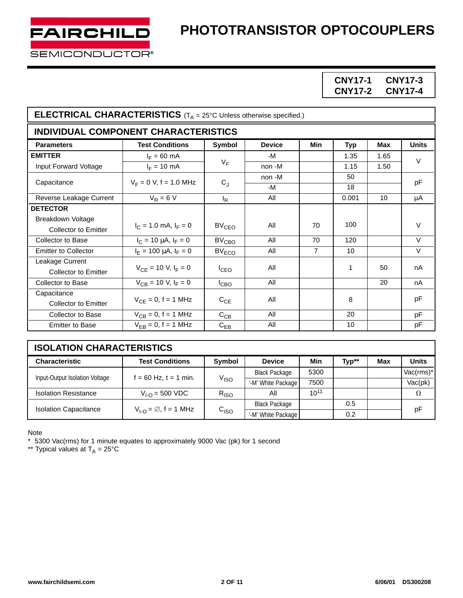

**CNY17-1 CNY17-3 CNY17-2 CNY17-4**

| <b>ELECTRICAL CHARACTERISTICS</b> ( $T_A = 25^\circ$ C Unless otherwise specified.) |                               |                   |               |                |            |            |              |
|-------------------------------------------------------------------------------------|-------------------------------|-------------------|---------------|----------------|------------|------------|--------------|
| <b>INDIVIDUAL COMPONENT CHARACTERISTICS</b>                                         |                               |                   |               |                |            |            |              |
| <b>Parameters</b>                                                                   | <b>Test Conditions</b>        | Symbol            | <b>Device</b> | Min            | <b>Typ</b> | <b>Max</b> | <b>Units</b> |
| <b>EMITTER</b>                                                                      | $I_F = 60$ mA                 |                   | -M            |                | 1.35       | 1.65       | $\vee$       |
| Input Forward Voltage                                                               | $I_F = 10$ mA                 | $V_F$             | non -M        |                | 1.15       | 1.50       |              |
| Capacitance                                                                         |                               | $C_{J}$           | non -M        |                | 50         |            | pF           |
|                                                                                     | $V_F = 0 V$ , f = 1.0 MHz     |                   | -M            |                | 18         |            |              |
| Reverse Leakage Current                                                             | $V_R = 6 V$                   | $I_R$             | All           |                | 0.001      | 10         | μA           |
| <b>DETECTOR</b>                                                                     |                               |                   |               |                |            |            |              |
| Breakdown Voltage                                                                   |                               |                   |               |                | 100        |            |              |
| <b>Collector to Emitter</b>                                                         | $I_C = 1.0$ mA, $I_F = 0$     | BV <sub>CEO</sub> | All           | 70             |            |            | $\vee$       |
| Collector to Base                                                                   | $I_C = 10 \mu A$ , $I_F = 0$  | $BV_{CBO}$        | All           | 70             | 120        |            | $\vee$       |
| <b>Emitter to Collector</b>                                                         | $I_F = 100 \mu A$ , $I_F = 0$ | BV <sub>ECO</sub> | All           | $\overline{7}$ | 10         |            | $\vee$       |
| Leakage Current                                                                     |                               |                   |               |                |            |            |              |
| <b>Collector to Emitter</b>                                                         | $V_{CF}$ = 10 V, $I_F$ = 0    | $I_{\text{CEO}}$  | All           |                | 1          | 50         | nA           |
| <b>Collector to Base</b>                                                            | $V_{CB}$ = 10 V, $I_F$ = 0    | $I_{CBO}$         | All           |                |            | 20         | nA           |
| Capacitance                                                                         |                               |                   |               |                |            |            |              |
| <b>Collector to Emitter</b>                                                         | $V_{CE} = 0, f = 1$ MHz       | $C_{CE}$          | All           |                | 8          |            | pF           |
| Collector to Base                                                                   | $V_{CB} = 0, f = 1$ MHz       | $C_{CB}$          | All           |                | 20         |            | pF           |
| <b>Emitter to Base</b>                                                              | $V_{FB} = 0, f = 1$ MHz       | $C_{EB}$          | All           |                | 10         |            | рF           |

| <b>ISOLATION CHARACTERISTICS</b> |                                   |                    |                      |           |       |     |              |
|----------------------------------|-----------------------------------|--------------------|----------------------|-----------|-------|-----|--------------|
| <b>Characteristic</b>            | <b>Test Conditions</b>            | Symbol             | <b>Device</b>        | Min       | Typ** | Max | <b>Units</b> |
| Input-Output Isolation Voltage   | $f = 60$ Hz, $t = 1$ min.         | $V_{\mathsf{ISO}}$ | <b>Black Package</b> | 5300      |       |     | Vac(rms)*    |
|                                  |                                   |                    | '-M' White Package   | 7500      |       |     | Vac(pk)      |
| <b>Isolation Resistance</b>      | $V_{1-0}$ = 500 VDC               | $R_{ISO}$          | All                  | $10^{11}$ |       |     | $\Omega$     |
| <b>Isolation Capacitance</b>     | $V_{1-O} = \emptyset$ , f = 1 MHz | $C_{\text{ISO}}$   | <b>Black Package</b> |           | 0.5   |     | pF           |
|                                  |                                   |                    | '-M' White Package   |           | 0.2   |     |              |

Note

\* 5300 Vac(rms) for 1 minute equates to approximately 9000 Vac (pk) for 1 second

\*\* Typical values at  $T_A$  = 25°C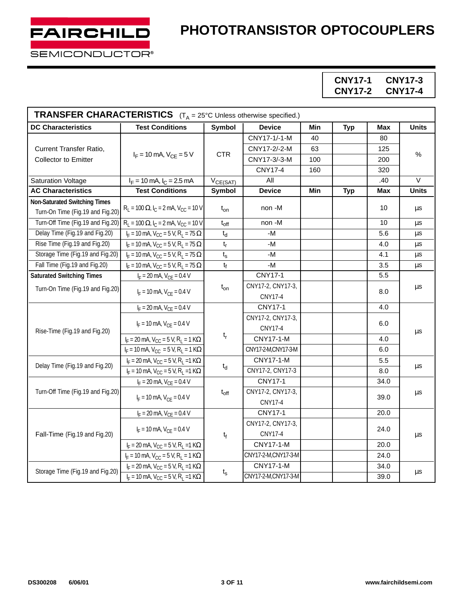**CNY17-1 CNY17-3 CNY17-2 CNY17-4**

| <b>TRANSFER CHARACTERISTICS</b> $(T_A = 25^{\circ}C \cup n \text{less otherwise specified.)}$ |                                                                         |                               |                     |     |            |            |              |  |
|-----------------------------------------------------------------------------------------------|-------------------------------------------------------------------------|-------------------------------|---------------------|-----|------------|------------|--------------|--|
| <b>DC Characteristics</b>                                                                     | <b>Test Conditions</b>                                                  | Symbol                        | <b>Device</b>       | Min | <b>Typ</b> | Max        | <b>Units</b> |  |
| Current Transfer Ratio,                                                                       | $I_F = 10$ mA, $V_{CF} = 5$ V                                           | <b>CTR</b>                    | CNY17-1/-1-M        | 40  |            | 80         |              |  |
|                                                                                               |                                                                         |                               | CNY17-2/-2-M        | 63  |            | 125        | $\%$         |  |
| Collector to Emitter                                                                          |                                                                         |                               | CNY17-3/-3-M        | 100 |            | 200        |              |  |
|                                                                                               |                                                                         |                               | <b>CNY17-4</b>      | 160 |            | 320        |              |  |
| <b>Saturation Voltage</b>                                                                     | $I_F$ = 10 mA, $I_C$ = 2.5 mA                                           | $V_{CE(SAT)}$                 | All                 |     |            | .40        | $\vee$       |  |
| <b>AC Characteristics</b>                                                                     | <b>Test Conditions</b>                                                  | <b>Symbol</b>                 | <b>Device</b>       | Min | <b>Typ</b> | <b>Max</b> | <b>Units</b> |  |
| <b>Non-Saturated Switching Times</b>                                                          |                                                                         |                               |                     |     |            |            |              |  |
| Turn-On Time (Fig.19 and Fig.20)                                                              | $R_L = 100 \Omega$ , $I_C = 2 mA$ , $V_{CC} = 10 V$                     | $t_{on}$                      | non -M              |     |            | 10         | μs           |  |
| Turn-Off Time (Fig.19 and Fig.20)                                                             | $R_1 = 100 \Omega$ , $I_C = 2$ mA, $V_{CC} = 10 V$                      | $t_{off}$                     | non-M               |     |            | 10         | μs           |  |
| Delay Time (Fig.19 and Fig.20)                                                                | $I_F = 10$ mA, $V_{CC} = 5$ V, R <sub>1</sub> = 75 $\Omega$             | $\mathfrak{t}_{\sf d}$        | -M                  |     |            | 5.6        | μs           |  |
| Rise Time (Fig.19 and Fig.20)                                                                 | $I_F = 10$ mA, $V_{CC} = 5$ V, R <sub>1</sub> = 75 $\Omega$             | $t_{r}$                       | $-M$                |     |            | 4.0        | μs           |  |
| Storage Time (Fig.19 and Fig.20)                                                              | $I_F = 10$ mA, $V_{CC} = 5$ V, R <sub>1</sub> = 75 $\Omega$             | $t_{\scriptscriptstyle\rm S}$ | -M                  |     |            | 4.1        | $\mu$ s      |  |
| Fall Time (Fig.19 and Fig.20)                                                                 | $I_F = 10$ mA, $V_{CC} = 5$ V, R <sub>1</sub> = 75 $\Omega$             | $t_f$                         | -M                  |     |            | 3.5        | μs           |  |
| <b>Saturated Switching Times</b>                                                              | $I_F = 20$ mA, $V_{CE} = 0.4$ V                                         |                               | <b>CNY17-1</b>      |     |            | 5.5        |              |  |
| Turn-On Time (Fig.19 and Fig.20)                                                              | $I_F = 10$ mA, $V_{CF} = 0.4$ V                                         | $t_{on}$                      | CNY17-2, CNY17-3,   |     |            | 8.0        | μs           |  |
|                                                                                               |                                                                         |                               | <b>CNY17-4</b>      |     |            |            |              |  |
|                                                                                               | $I_F = 20$ mA, $V_{CE} = 0.4$ V                                         |                               | <b>CNY17-1</b>      |     |            | 4.0        |              |  |
|                                                                                               | $I_F = 10$ mA, $V_{CE} = 0.4$ V                                         | $t_{\sf r}$                   | CNY17-2, CNY17-3,   |     |            | 6.0        |              |  |
| Rise-Time (Fig.19 and Fig.20)                                                                 |                                                                         |                               | <b>CNY17-4</b>      |     |            |            | μs           |  |
|                                                                                               | $I_F = 20$ mA, $V_{CC} = 5$ V, R <sub>1</sub> = 1 K $\Omega$            |                               | <b>CNY17-1-M</b>    |     |            | 4.0        |              |  |
|                                                                                               | $I_F = 10$ mA, $V_{CC} = 5$ V, R <sub>L</sub> = 1 K $\Omega$            |                               | CNY17-2-M,CNY17-3-M |     |            | 6.0        |              |  |
| Delay Time (Fig.19 and Fig.20)                                                                | $I_F = 20$ mA, $V_{CC} = 5$ V, R <sub>L</sub> = 1 K $\Omega$            |                               | <b>CNY17-1-M</b>    |     |            | 5.5        | μs           |  |
|                                                                                               | $I_F = 10$ mA, $V_{CC} = 5$ V, R <sub>L</sub> = 1 K $\Omega$            | $t_d$                         | CNY17-2, CNY17-3    |     |            | 8.0        |              |  |
|                                                                                               | $I_F = 20$ mA, $V_{CE} = 0.4$ V                                         |                               | <b>CNY17-1</b>      |     |            | 34.0       |              |  |
| Turn-Off Time (Fig.19 and Fig.20)                                                             | $I_F = 10$ mA, $V_{CF} = 0.4$ V                                         | $t_{off}$                     | CNY17-2, CNY17-3,   |     |            | 39.0       | $\mu$ s      |  |
|                                                                                               |                                                                         |                               | <b>CNY17-4</b>      |     |            |            |              |  |
|                                                                                               | $I_F = 20$ mA, $V_{CE} = 0.4$ V                                         |                               | <b>CNY17-1</b>      |     |            | 20.0       |              |  |
| Fall-Time (Fig.19 and Fig.20)                                                                 | $I_F = 10$ mA, $V_{CF} = 0.4$ V                                         |                               | CNY17-2, CNY17-3,   |     |            | 24.0       |              |  |
|                                                                                               |                                                                         | t <sub>f</sub>                | <b>CNY17-4</b>      |     |            |            | μs           |  |
|                                                                                               | $I_F = 20$ mA, $V_{CC} = 5$ V, R <sub>L</sub> = 1 K $\Omega$            |                               | <b>CNY17-1-M</b>    |     |            | 20.0       |              |  |
|                                                                                               | $I_F = 10$ mA, $V_{CC} = 5$ V, R <sub>L</sub> = 1 K $\Omega$            |                               | CNY17-2-M,CNY17-3-M |     |            | 24.0       |              |  |
|                                                                                               | $I_F = 20$ mA, $V_{CC} = 5$ V, R <sub>L</sub> = 1 K $\Omega$            |                               | <b>CNY17-1-M</b>    |     |            | 34.0       |              |  |
| Storage Time (Fig.19 and Fig.20)                                                              | $t_{s}$<br>$I_F = 10$ mA, $V_{CC} = 5$ V, R <sub>1</sub> = 1 K $\Omega$ | CNY17-2-M,CNY17-3-M           |                     |     | 39.0       | μs         |              |  |

FAIRCHILD

SEMICONDUCTOR®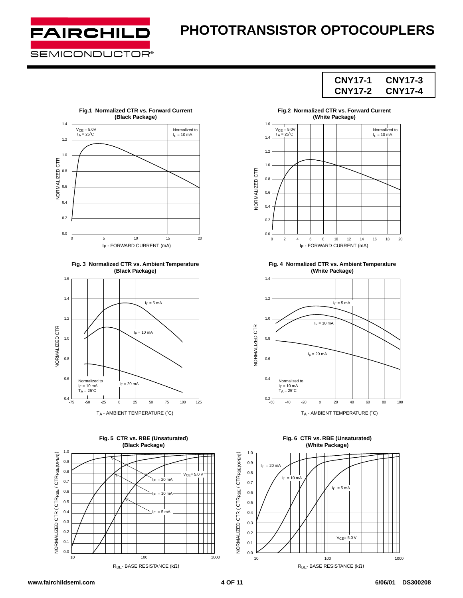

**CNY17-1 CNY17-3 CNY17-2 CNY17-4**



**Fig. 3 Normalized CTR vs. Ambient Temperature (Black Package)**









**Fig. 4 Normalized CTR vs. Ambient Temperature (White Package)**





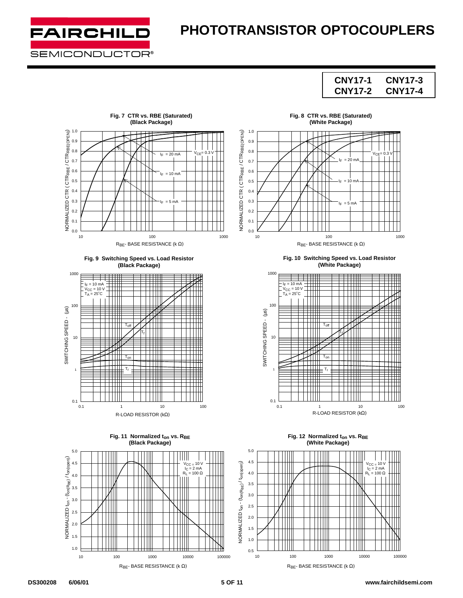

### **CNY17-1 CNY17-3 CNY17-2 CNY17-4**



**DS300208 6/06/01 5 OF 11 www.fairchildsemi.com**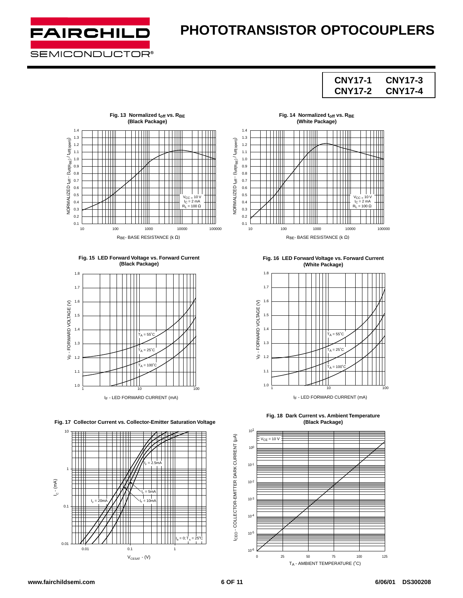

### **CNY17-1 CNY17-3 CNY17-2 CNY17-4**



**Fig. 15 LED Forward Voltage vs. Forward Current (Black Package)**



**Fig. 17 Collector Current vs. Collector-Emitter Saturation Voltage**



Fig. 14 Normalized t<sub>off</sub> vs. R<sub>BE</sub> **(White Package)**



**Fig. 16 LED Forward Voltage vs. Forward Current (White Package)**



**Fig. 18 Dark Current vs. Ambient Temperature (Black Package)**

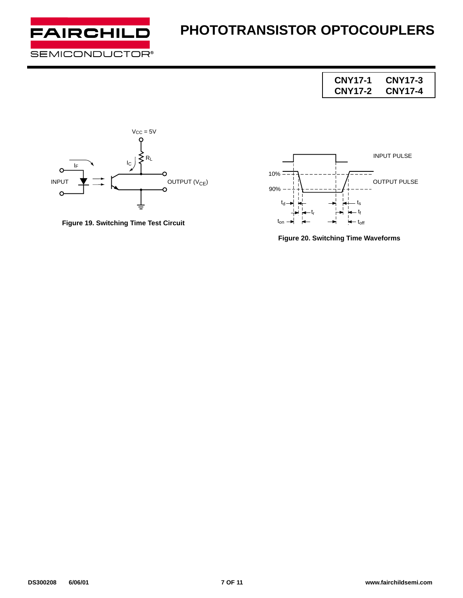

**CNY17-1 CNY17-3 CNY17-2 CNY17-4**



**Figure 19. Switching Time Test Circuit**



**Figure 20. Switching Time Waveforms**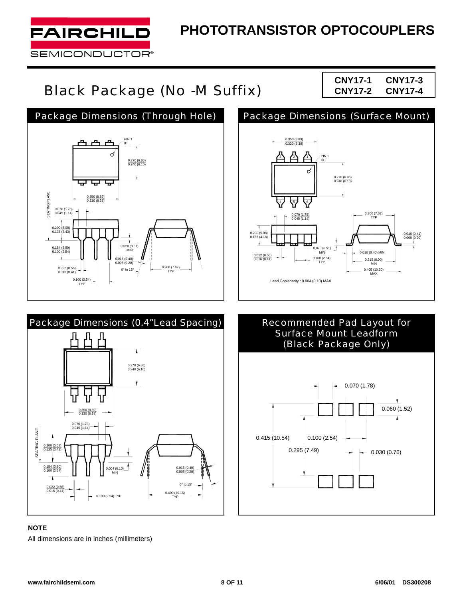

# Black Package (No -M Suffix) **CNY17-2 CNY17-4**

**CNY17-1 CNY17-3**





#### **NOTE**

All dimensions are in inches (millimeters)





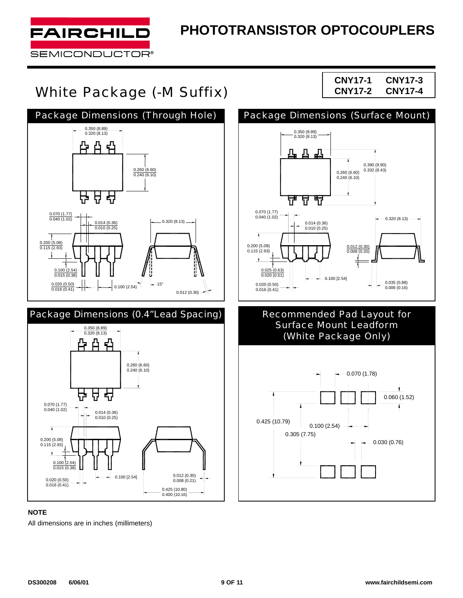

# White Package (-M Suffix) CNY17-2 CNY17-4





#### **NOTE**

All dimensions are in inches (millimeters)

**CNY17-1 CNY17-3**



### Recommended Pad Layout for Surface Mount Leadform (White Package Only)

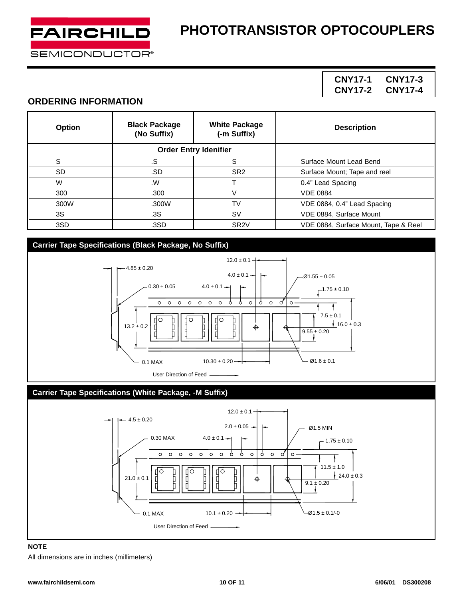

### **CNY17-1 CNY17-3 CNY17-2 CNY17-4**

#### **ORDERING INFORMATION**

| Option | <b>Black Package</b><br>(No Suffix) | <b>White Package</b><br>(-m Suffix) | <b>Description</b>                   |
|--------|-------------------------------------|-------------------------------------|--------------------------------------|
|        |                                     | <b>Order Entry Idenifier</b>        |                                      |
| S      | .S                                  | S                                   | Surface Mount Lead Bend              |
| SD.    | .SD                                 | SR <sub>2</sub>                     | Surface Mount; Tape and reel         |
| W      | .W                                  |                                     | 0.4" Lead Spacing                    |
| 300    | .300                                | V                                   | <b>VDE 0884</b>                      |
| 300W   | .300W                               | <b>TV</b>                           | VDE 0884, 0.4" Lead Spacing          |
| 3S     | .3S                                 | <b>SV</b>                           | VDE 0884, Surface Mount              |
| 3SD    | .3SD                                | SR <sub>2V</sub>                    | VDE 0884, Surface Mount, Tape & Reel |

#### **Carrier Tape Specifications (Black Package, No Suffix)**



#### **Carrier Tape Specifications (White Package, -M Suffix)**



### **NOTE**

All dimensions are in inches (millimeters)